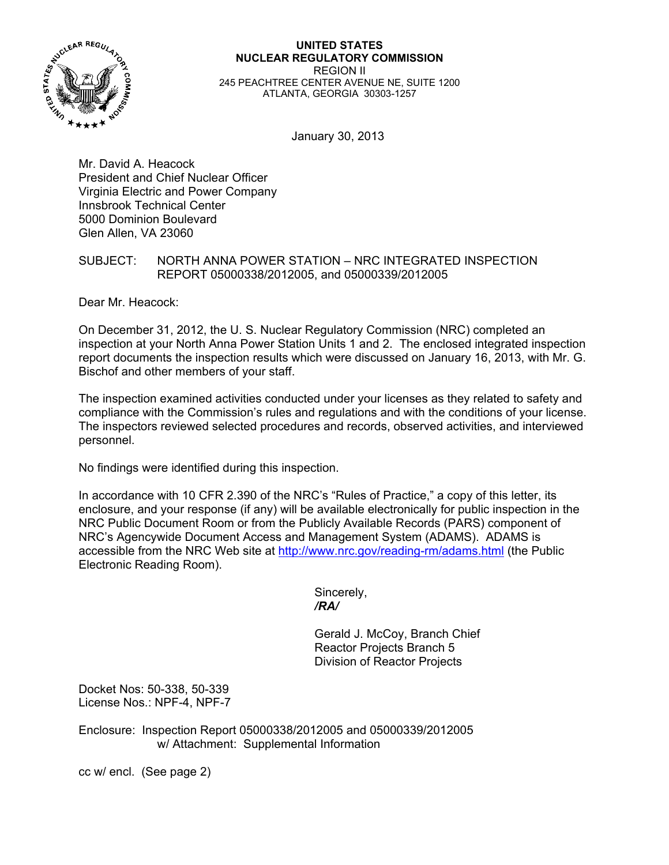

#### **UNITED STATES NUCLEAR REGULATORY COMMISSION**  REGION II 245 PEACHTREE CENTER AVENUE NE, SUITE 1200 ATLANTA, GEORGIA 30303-1257

January 30, 2013

Mr. David A. Heacock President and Chief Nuclear Officer Virginia Electric and Power Company Innsbrook Technical Center 5000 Dominion Boulevard Glen Allen, VA 23060

## SUBJECT: NORTH ANNA POWER STATION – NRC INTEGRATED INSPECTION REPORT 05000338/2012005, and 05000339/2012005

Dear Mr. Heacock:

On December 31, 2012, the U. S. Nuclear Regulatory Commission (NRC) completed an inspection at your North Anna Power Station Units 1 and 2. The enclosed integrated inspection report documents the inspection results which were discussed on January 16, 2013, with Mr. G. Bischof and other members of your staff.

The inspection examined activities conducted under your licenses as they related to safety and compliance with the Commission's rules and regulations and with the conditions of your license. The inspectors reviewed selected procedures and records, observed activities, and interviewed personnel.

No findings were identified during this inspection.

In accordance with 10 CFR 2.390 of the NRC's "Rules of Practice," a copy of this letter, its enclosure, and your response (if any) will be available electronically for public inspection in the NRC Public Document Room or from the Publicly Available Records (PARS) component of NRC's Agencywide Document Access and Management System (ADAMS). ADAMS is accessible from the NRC Web site at http://www.nrc.gov/reading-rm/adams.html (the Public Electronic Reading Room).

 Sincerely,  */RA/* 

> Gerald J. McCoy, Branch Chief Reactor Projects Branch 5 Division of Reactor Projects

Docket Nos: 50-338, 50-339 License Nos.: NPF-4, NPF-7

Enclosure: Inspection Report 05000338/2012005 and 05000339/2012005 w/ Attachment: Supplemental Information

cc w/ encl. (See page 2)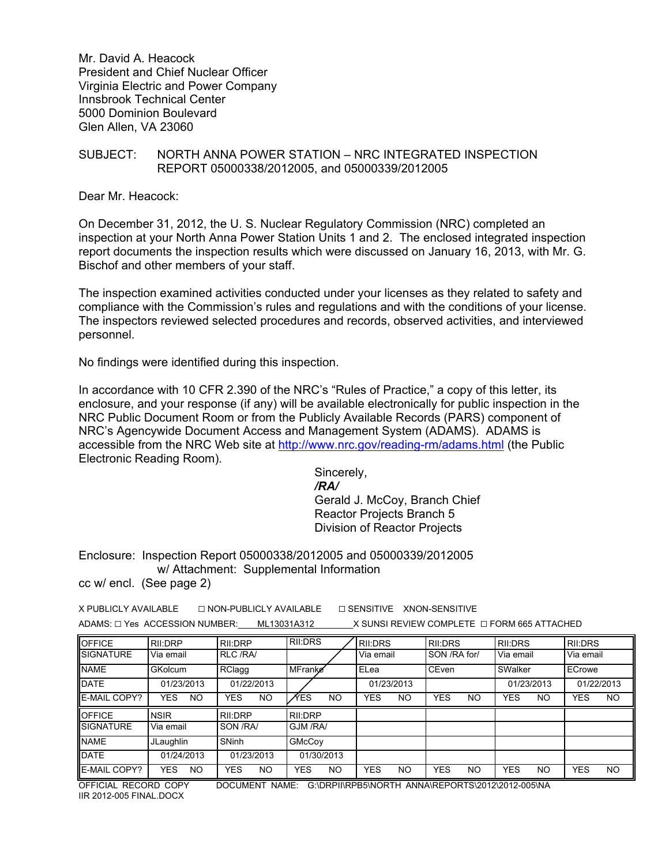Mr. David A. Heacock President and Chief Nuclear Officer Virginia Electric and Power Company Innsbrook Technical Center 5000 Dominion Boulevard Glen Allen, VA 23060

## SUBJECT: NORTH ANNA POWER STATION – NRC INTEGRATED INSPECTION REPORT 05000338/2012005, and 05000339/2012005

Dear Mr. Heacock:

On December 31, 2012, the U. S. Nuclear Regulatory Commission (NRC) completed an inspection at your North Anna Power Station Units 1 and 2. The enclosed integrated inspection report documents the inspection results which were discussed on January 16, 2013, with Mr. G. Bischof and other members of your staff.

The inspection examined activities conducted under your licenses as they related to safety and compliance with the Commission's rules and regulations and with the conditions of your license. The inspectors reviewed selected procedures and records, observed activities, and interviewed personnel.

No findings were identified during this inspection.

In accordance with 10 CFR 2.390 of the NRC's "Rules of Practice," a copy of this letter, its enclosure, and your response (if any) will be available electronically for public inspection in the NRC Public Document Room or from the Publicly Available Records (PARS) component of NRC's Agencywide Document Access and Management System (ADAMS). ADAMS is accessible from the NRC Web site at http://www.nrc.gov/reading-rm/adams.html (the Public Electronic Reading Room).

 Sincerely, */RA/*  Gerald J. McCoy, Branch Chief Reactor Projects Branch 5 Division of Reactor Projects

Enclosure: Inspection Report 05000338/2012005 and 05000339/2012005 w/ Attachment: Supplemental Information

cc w/ encl. (See page 2)

| X PUBLICLY AVAILABLE                | $\sqcap$ NON-PUBLICLY AVAILABLE | $\Box$ SENSITIVE XNON-SENSITIVE                  |
|-------------------------------------|---------------------------------|--------------------------------------------------|
| $ADAMS: \Box Yes$ ACCESSION NUMBER: | ML13031A312                     | X SUNSI REVIEW COMPLETE $\Box$ FORM 665 ATTACHED |

| <b>OFFICE</b>    | RII:DRP                 | RII:DRP           | RII:DRS           | RII:DRS          | <b>RII:DRS</b>    | RII:DRS           | RII:DRS                 |
|------------------|-------------------------|-------------------|-------------------|------------------|-------------------|-------------------|-------------------------|
| <b>SIGNATURE</b> | Via email               | <b>RLC /RA/</b>   |                   | Via email        | SON /RA for/      | Via email         | Via email               |
| <b>NAME</b>      | <b>GKolcum</b>          | RClagg            | MFranke           | ELea             | CEven             | SWalker           | ECrowe                  |
| <b>DATE</b>      | 01/23/2013              | 01/22/2013        |                   | 01/23/2013       |                   | 01/23/2013        | 01/22/2013              |
| E-MAIL COPY?     | <b>YES</b><br><b>NO</b> | <b>YES</b><br>NO. | ∕YES<br><b>NO</b> | YES<br><b>NO</b> | <b>YES</b><br>NO. | <b>YES</b><br>NO. | <b>NO</b><br><b>YES</b> |
|                  |                         |                   |                   |                  |                   |                   |                         |
| <b>OFFICE</b>    | <b>NSIR</b>             | RII:DRP           | RII:DRP           |                  |                   |                   |                         |
| <b>SIGNATURE</b> | Via email               | SON /RA/          | GJM /RA/          |                  |                   |                   |                         |
| <b>NAME</b>      | JLaughlin               | SNinh             | GMcCov            |                  |                   |                   |                         |
| <b>DATE</b>      | 01/24/2013              | 01/23/2013        | 01/30/2013        |                  |                   |                   |                         |

OFFICIAL RECORD COPY DOCUMENT NAME: G:\DRPII\RPB5\NORTH ANNA\REPORTS\2012\2012-005\NA IIR 2012-005 FINAL.DOCX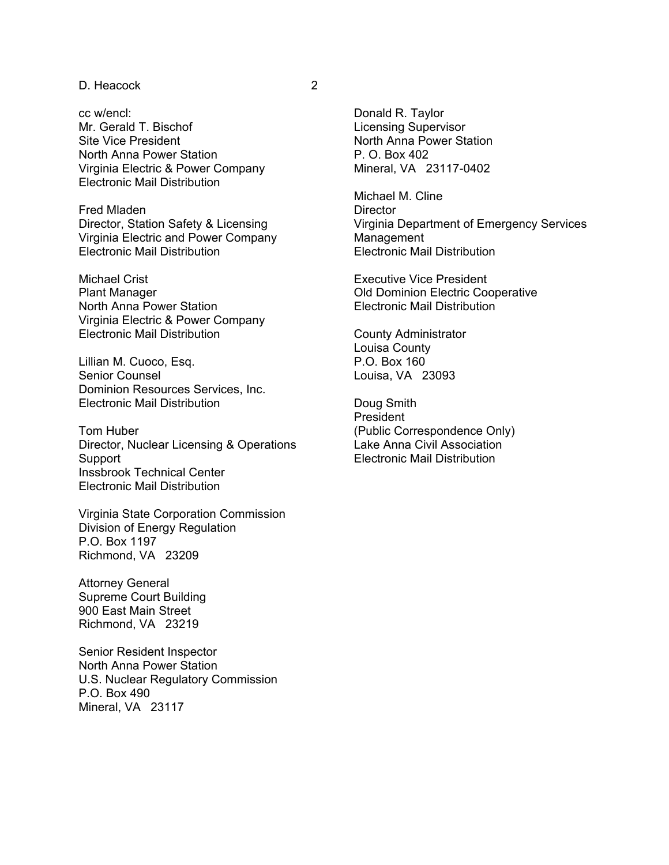### D. Heacock 2

cc w/encl: Mr. Gerald T. Bischof Site Vice President North Anna Power Station Virginia Electric & Power Company Electronic Mail Distribution

Fred Mladen Director, Station Safety & Licensing Virginia Electric and Power Company Electronic Mail Distribution

Michael Crist Plant Manager North Anna Power Station Virginia Electric & Power Company Electronic Mail Distribution

Lillian M. Cuoco, Esq. Senior Counsel Dominion Resources Services, Inc. Electronic Mail Distribution

Tom Huber Director, Nuclear Licensing & Operations Support Inssbrook Technical Center Electronic Mail Distribution

Virginia State Corporation Commission Division of Energy Regulation P.O. Box 1197 Richmond, VA 23209

Attorney General Supreme Court Building 900 East Main Street Richmond, VA 23219

Senior Resident Inspector North Anna Power Station U.S. Nuclear Regulatory Commission P.O. Box 490 Mineral, VA 23117

Donald R. Taylor Licensing Supervisor North Anna Power Station P. O. Box 402 Mineral, VA 23117-0402

Michael M. Cline **Director** Virginia Department of Emergency Services Management Electronic Mail Distribution

Executive Vice President Old Dominion Electric Cooperative Electronic Mail Distribution

County Administrator Louisa County P.O. Box 160 Louisa, VA 23093

Doug Smith President (Public Correspondence Only) Lake Anna Civil Association Electronic Mail Distribution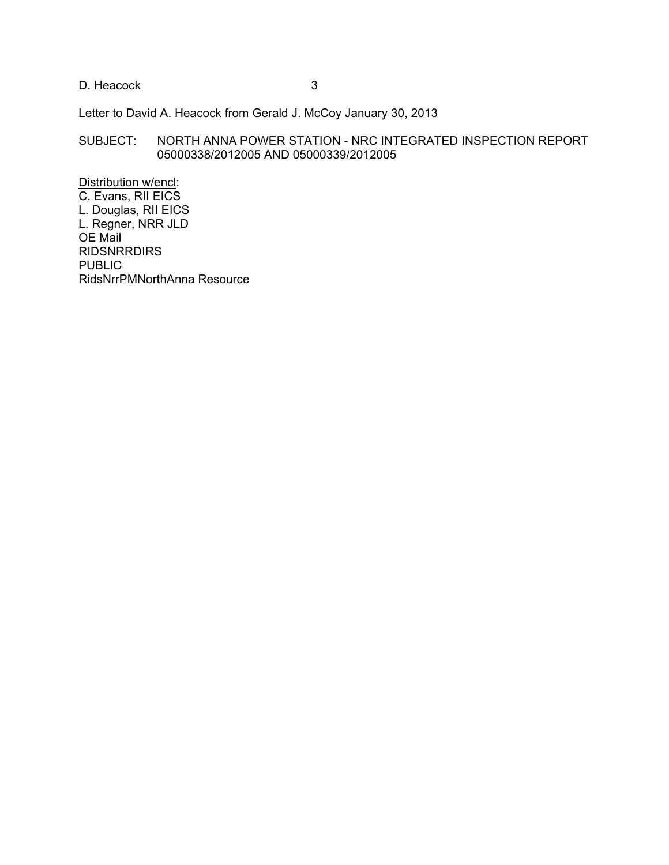D. Heacock 3

Letter to David A. Heacock from Gerald J. McCoy January 30, 2013

## SUBJECT: NORTH ANNA POWER STATION - NRC INTEGRATED INSPECTION REPORT 05000338/2012005 AND 05000339/2012005

Distribution w/encl: C. Evans, RII EICS L. Douglas, RII EICS L. Regner, NRR JLD OE Mail RIDSNRRDIRS PUBLIC RidsNrrPMNorthAnna Resource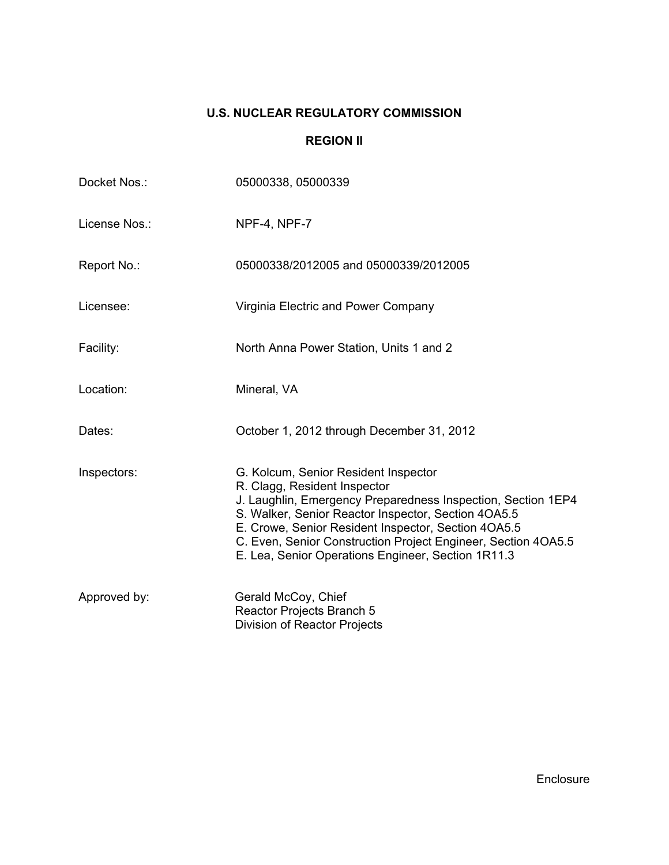# **U.S. NUCLEAR REGULATORY COMMISSION**

## **REGION II**

| Docket Nos.:  | 05000338, 05000339                                                                                                                                                                                                                                                                                                                                                        |
|---------------|---------------------------------------------------------------------------------------------------------------------------------------------------------------------------------------------------------------------------------------------------------------------------------------------------------------------------------------------------------------------------|
| License Nos.: | NPF-4, NPF-7                                                                                                                                                                                                                                                                                                                                                              |
| Report No.:   | 05000338/2012005 and 05000339/2012005                                                                                                                                                                                                                                                                                                                                     |
| Licensee:     | Virginia Electric and Power Company                                                                                                                                                                                                                                                                                                                                       |
| Facility:     | North Anna Power Station, Units 1 and 2                                                                                                                                                                                                                                                                                                                                   |
| Location:     | Mineral, VA                                                                                                                                                                                                                                                                                                                                                               |
| Dates:        | October 1, 2012 through December 31, 2012                                                                                                                                                                                                                                                                                                                                 |
| Inspectors:   | G. Kolcum, Senior Resident Inspector<br>R. Clagg, Resident Inspector<br>J. Laughlin, Emergency Preparedness Inspection, Section 1EP4<br>S. Walker, Senior Reactor Inspector, Section 4OA5.5<br>E. Crowe, Senior Resident Inspector, Section 4OA5.5<br>C. Even, Senior Construction Project Engineer, Section 4OA5.5<br>E. Lea, Senior Operations Engineer, Section 1R11.3 |
| Approved by:  | Gerald McCoy, Chief<br>Reactor Projects Branch 5<br><b>Division of Reactor Projects</b>                                                                                                                                                                                                                                                                                   |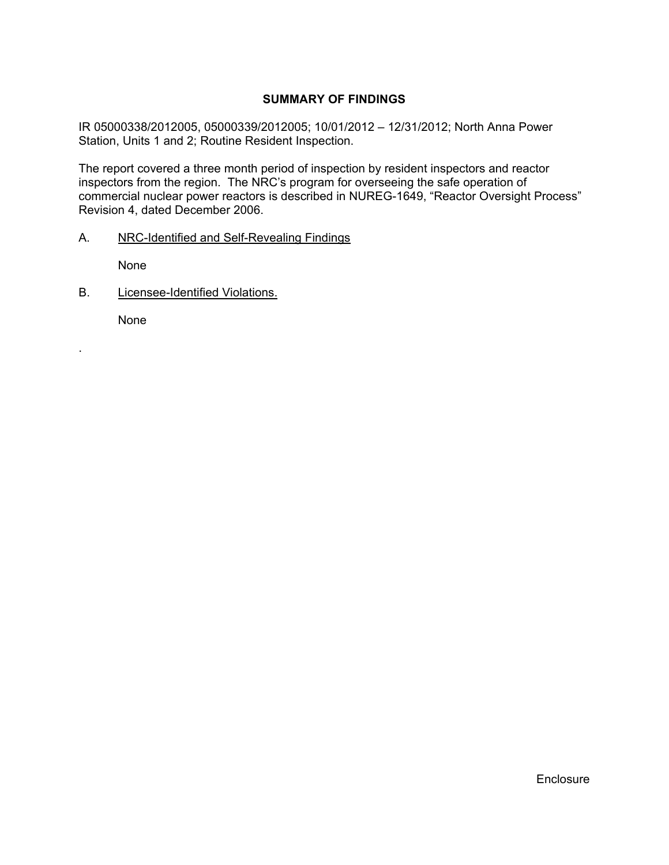## **SUMMARY OF FINDINGS**

IR 05000338/2012005, 05000339/2012005; 10/01/2012 – 12/31/2012; North Anna Power Station, Units 1 and 2; Routine Resident Inspection.

The report covered a three month period of inspection by resident inspectors and reactor inspectors from the region. The NRC's program for overseeing the safe operation of commercial nuclear power reactors is described in NUREG-1649, "Reactor Oversight Process" Revision 4, dated December 2006.

A. NRC-Identified and Self-Revealing Findings

None

B. Licensee-Identified Violations.

None

.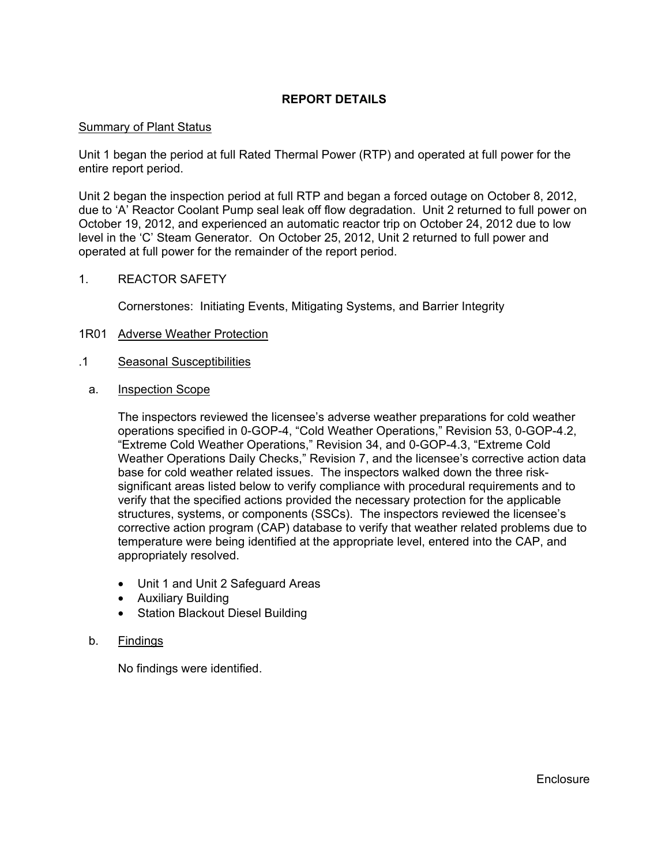## **REPORT DETAILS**

#### Summary of Plant Status

Unit 1 began the period at full Rated Thermal Power (RTP) and operated at full power for the entire report period.

Unit 2 began the inspection period at full RTP and began a forced outage on October 8, 2012, due to 'A' Reactor Coolant Pump seal leak off flow degradation. Unit 2 returned to full power on October 19, 2012, and experienced an automatic reactor trip on October 24, 2012 due to low level in the 'C' Steam Generator. On October 25, 2012, Unit 2 returned to full power and operated at full power for the remainder of the report period.

#### 1. REACTOR SAFETY

Cornerstones: Initiating Events, Mitigating Systems, and Barrier Integrity

#### 1R01 Adverse Weather Protection

- .1 Seasonal Susceptibilities
	- a. Inspection Scope

The inspectors reviewed the licensee's adverse weather preparations for cold weather operations specified in 0-GOP-4, "Cold Weather Operations," Revision 53, 0-GOP-4.2, "Extreme Cold Weather Operations," Revision 34, and 0-GOP-4.3, "Extreme Cold Weather Operations Daily Checks," Revision 7, and the licensee's corrective action data base for cold weather related issues. The inspectors walked down the three risksignificant areas listed below to verify compliance with procedural requirements and to verify that the specified actions provided the necessary protection for the applicable structures, systems, or components (SSCs). The inspectors reviewed the licensee's corrective action program (CAP) database to verify that weather related problems due to temperature were being identified at the appropriate level, entered into the CAP, and appropriately resolved.

- Unit 1 and Unit 2 Safeguard Areas
- Auxiliary Building
- Station Blackout Diesel Building

#### b. Findings

No findings were identified.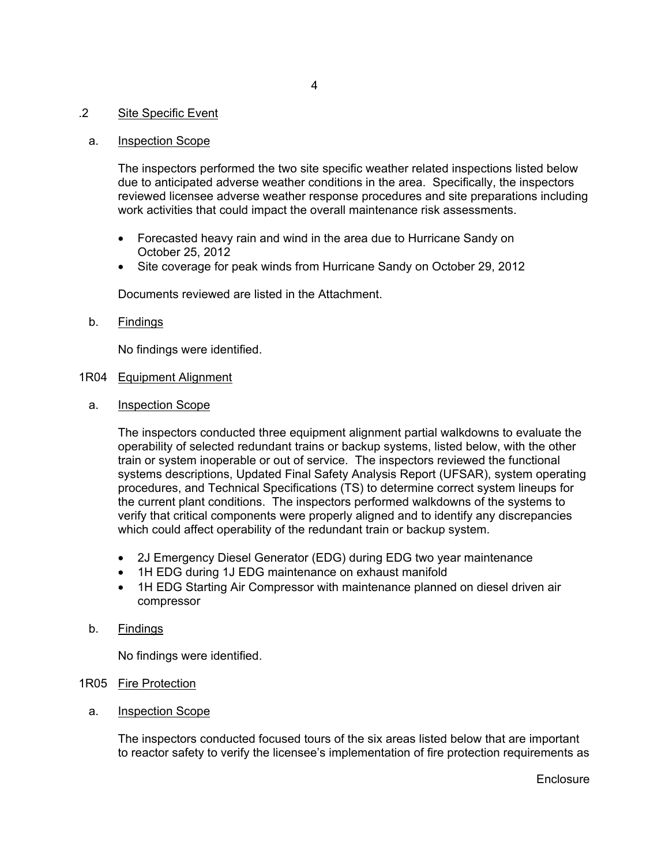## .2 Site Specific Event

#### a. Inspection Scope

The inspectors performed the two site specific weather related inspections listed below due to anticipated adverse weather conditions in the area. Specifically, the inspectors reviewed licensee adverse weather response procedures and site preparations including work activities that could impact the overall maintenance risk assessments.

- Forecasted heavy rain and wind in the area due to Hurricane Sandy on October 25, 2012
- Site coverage for peak winds from Hurricane Sandy on October 29, 2012

Documents reviewed are listed in the Attachment.

b. Findings

No findings were identified.

- 1R04 Equipment Alignment
	- a. Inspection Scope

The inspectors conducted three equipment alignment partial walkdowns to evaluate the operability of selected redundant trains or backup systems, listed below, with the other train or system inoperable or out of service. The inspectors reviewed the functional systems descriptions, Updated Final Safety Analysis Report (UFSAR), system operating procedures, and Technical Specifications (TS) to determine correct system lineups for the current plant conditions. The inspectors performed walkdowns of the systems to verify that critical components were properly aligned and to identify any discrepancies which could affect operability of the redundant train or backup system.

- 2J Emergency Diesel Generator (EDG) during EDG two year maintenance
- 1H EDG during 1J EDG maintenance on exhaust manifold
- 1H EDG Starting Air Compressor with maintenance planned on diesel driven air compressor
- b. Findings

No findings were identified.

### 1R05 Fire Protection

a. Inspection Scope

The inspectors conducted focused tours of the six areas listed below that are important to reactor safety to verify the licensee's implementation of fire protection requirements as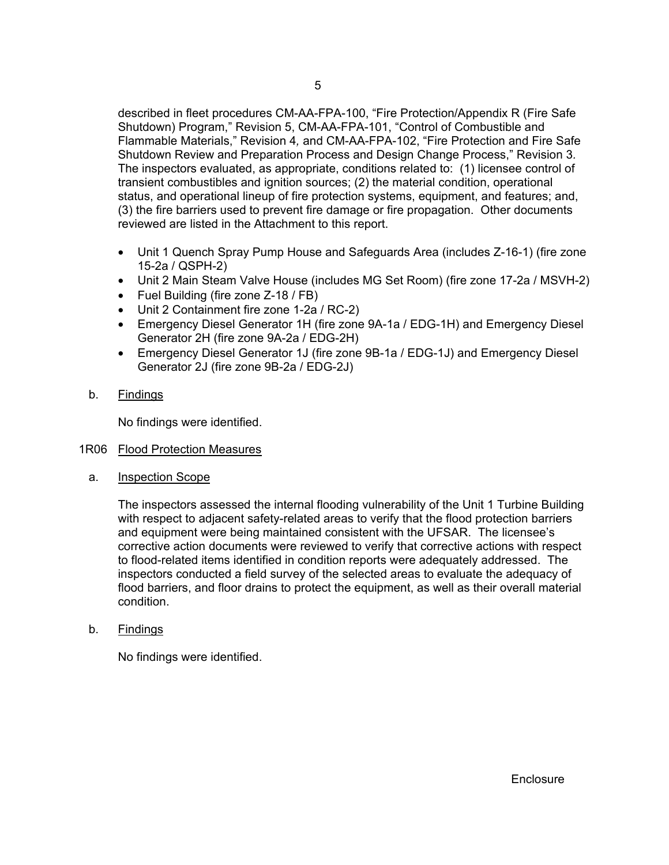described in fleet procedures CM-AA-FPA-100, "Fire Protection/Appendix R (Fire Safe Shutdown) Program," Revision 5, CM-AA-FPA-101, "Control of Combustible and Flammable Materials," Revision 4*,* and CM-AA-FPA-102, "Fire Protection and Fire Safe Shutdown Review and Preparation Process and Design Change Process," Revision 3*.* The inspectors evaluated, as appropriate, conditions related to: (1) licensee control of transient combustibles and ignition sources; (2) the material condition, operational status, and operational lineup of fire protection systems, equipment, and features; and, (3) the fire barriers used to prevent fire damage or fire propagation. Other documents reviewed are listed in the Attachment to this report.

- Unit 1 Quench Spray Pump House and Safeguards Area (includes Z-16-1) (fire zone 15-2a / QSPH-2)
- Unit 2 Main Steam Valve House (includes MG Set Room) (fire zone 17-2a / MSVH-2)
- Fuel Building (fire zone Z-18 / FB)
- Unit 2 Containment fire zone 1-2a / RC-2)
- Emergency Diesel Generator 1H (fire zone 9A-1a / EDG-1H) and Emergency Diesel Generator 2H (fire zone 9A-2a / EDG-2H)
- Emergency Diesel Generator 1J (fire zone 9B-1a / EDG-1J) and Emergency Diesel Generator 2J (fire zone 9B-2a / EDG-2J)
- b. Findings

No findings were identified.

#### 1R06 Flood Protection Measures

a. Inspection Scope

The inspectors assessed the internal flooding vulnerability of the Unit 1 Turbine Building with respect to adjacent safety-related areas to verify that the flood protection barriers and equipment were being maintained consistent with the UFSAR. The licensee's corrective action documents were reviewed to verify that corrective actions with respect to flood-related items identified in condition reports were adequately addressed. The inspectors conducted a field survey of the selected areas to evaluate the adequacy of flood barriers, and floor drains to protect the equipment, as well as their overall material condition.

b. Findings

No findings were identified.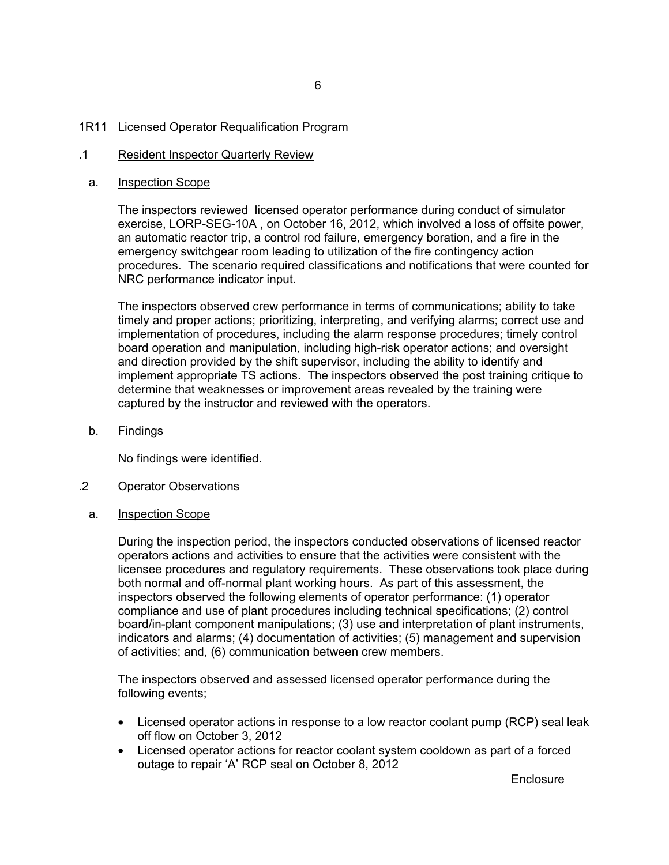#### 1R11 Licensed Operator Requalification Program

#### .1 Resident Inspector Quarterly Review

#### a. Inspection Scope

The inspectors reviewed licensed operator performance during conduct of simulator exercise, LORP-SEG-10A , on October 16, 2012, which involved a loss of offsite power, an automatic reactor trip, a control rod failure, emergency boration, and a fire in the emergency switchgear room leading to utilization of the fire contingency action procedures. The scenario required classifications and notifications that were counted for NRC performance indicator input.

The inspectors observed crew performance in terms of communications; ability to take timely and proper actions; prioritizing, interpreting, and verifying alarms; correct use and implementation of procedures, including the alarm response procedures; timely control board operation and manipulation, including high-risk operator actions; and oversight and direction provided by the shift supervisor, including the ability to identify and implement appropriate TS actions. The inspectors observed the post training critique to determine that weaknesses or improvement areas revealed by the training were captured by the instructor and reviewed with the operators.

b. Findings

No findings were identified.

### .2 Operator Observations

a. Inspection Scope

During the inspection period, the inspectors conducted observations of licensed reactor operators actions and activities to ensure that the activities were consistent with the licensee procedures and regulatory requirements. These observations took place during both normal and off-normal plant working hours. As part of this assessment, the inspectors observed the following elements of operator performance: (1) operator compliance and use of plant procedures including technical specifications; (2) control board/in-plant component manipulations; (3) use and interpretation of plant instruments, indicators and alarms; (4) documentation of activities; (5) management and supervision of activities; and, (6) communication between crew members.

The inspectors observed and assessed licensed operator performance during the following events;

- Licensed operator actions in response to a low reactor coolant pump (RCP) seal leak off flow on October 3, 2012
- Licensed operator actions for reactor coolant system cooldown as part of a forced outage to repair 'A' RCP seal on October 8, 2012

**Enclosure**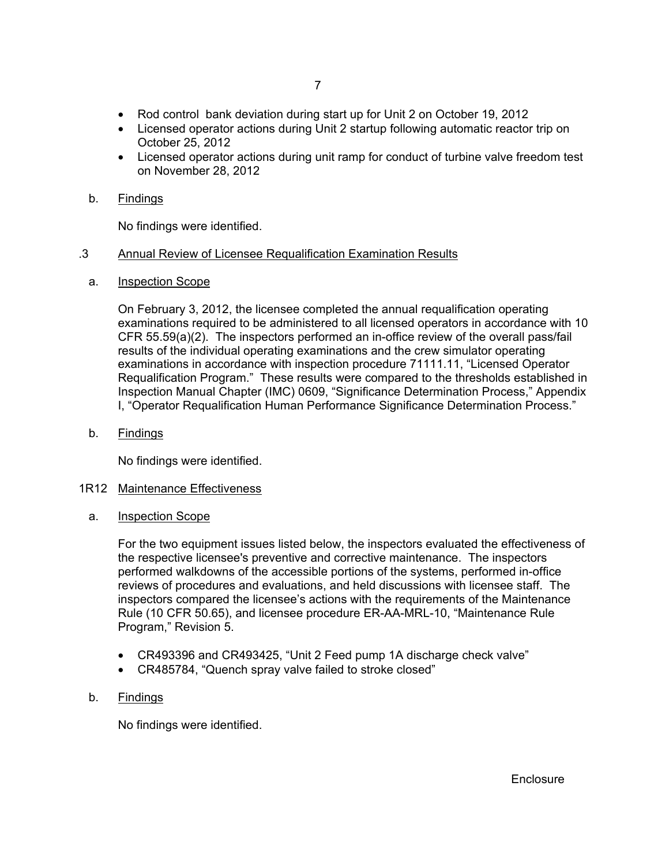- Rod control bank deviation during start up for Unit 2 on October 19, 2012
- Licensed operator actions during Unit 2 startup following automatic reactor trip on October 25, 2012
- Licensed operator actions during unit ramp for conduct of turbine valve freedom test on November 28, 2012

No findings were identified.

#### .3 Annual Review of Licensee Requalification Examination Results

a. Inspection Scope

On February 3, 2012, the licensee completed the annual requalification operating examinations required to be administered to all licensed operators in accordance with 10 CFR 55.59(a)(2). The inspectors performed an in-office review of the overall pass/fail results of the individual operating examinations and the crew simulator operating examinations in accordance with inspection procedure 71111.11, "Licensed Operator Requalification Program." These results were compared to the thresholds established in Inspection Manual Chapter (IMC) 0609, "Significance Determination Process," Appendix I, "Operator Requalification Human Performance Significance Determination Process."

b. Findings

No findings were identified.

#### 1R12 Maintenance Effectiveness

a. Inspection Scope

For the two equipment issues listed below, the inspectors evaluated the effectiveness of the respective licensee's preventive and corrective maintenance. The inspectors performed walkdowns of the accessible portions of the systems, performed in-office reviews of procedures and evaluations, and held discussions with licensee staff. The inspectors compared the licensee's actions with the requirements of the Maintenance Rule (10 CFR 50.65), and licensee procedure ER-AA-MRL-10, "Maintenance Rule Program," Revision 5.

- CR493396 and CR493425, "Unit 2 Feed pump 1A discharge check valve"
- CR485784, "Quench spray valve failed to stroke closed"

## b. Findings

No findings were identified.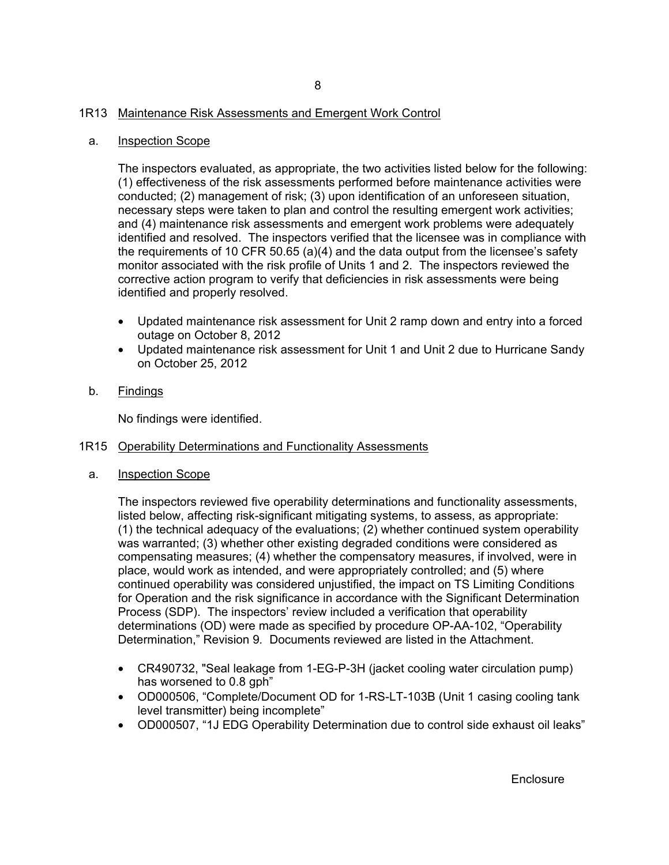## 1R13 Maintenance Risk Assessments and Emergent Work Control

#### a. Inspection Scope

The inspectors evaluated, as appropriate, the two activities listed below for the following: (1) effectiveness of the risk assessments performed before maintenance activities were conducted; (2) management of risk; (3) upon identification of an unforeseen situation, necessary steps were taken to plan and control the resulting emergent work activities; and (4) maintenance risk assessments and emergent work problems were adequately identified and resolved. The inspectors verified that the licensee was in compliance with the requirements of 10 CFR 50.65 (a)(4) and the data output from the licensee's safety monitor associated with the risk profile of Units 1 and 2. The inspectors reviewed the corrective action program to verify that deficiencies in risk assessments were being identified and properly resolved.

- Updated maintenance risk assessment for Unit 2 ramp down and entry into a forced outage on October 8, 2012
- Updated maintenance risk assessment for Unit 1 and Unit 2 due to Hurricane Sandy on October 25, 2012
- b. Findings

No findings were identified.

#### 1R15 Operability Determinations and Functionality Assessments

a. Inspection Scope

The inspectors reviewed five operability determinations and functionality assessments, listed below, affecting risk-significant mitigating systems, to assess, as appropriate: (1) the technical adequacy of the evaluations; (2) whether continued system operability was warranted; (3) whether other existing degraded conditions were considered as compensating measures; (4) whether the compensatory measures, if involved, were in place, would work as intended, and were appropriately controlled; and (5) where continued operability was considered unjustified, the impact on TS Limiting Conditions for Operation and the risk significance in accordance with the Significant Determination Process (SDP). The inspectors' review included a verification that operability determinations (OD) were made as specified by procedure OP-AA-102, "Operability Determination," Revision 9*.* Documents reviewed are listed in the Attachment.

- CR490732, "Seal leakage from 1-EG-P-3H (jacket cooling water circulation pump) has worsened to 0.8 gph"
- OD000506, "Complete/Document OD for 1-RS-LT-103B (Unit 1 casing cooling tank level transmitter) being incomplete"
- OD000507, "1J EDG Operability Determination due to control side exhaust oil leaks"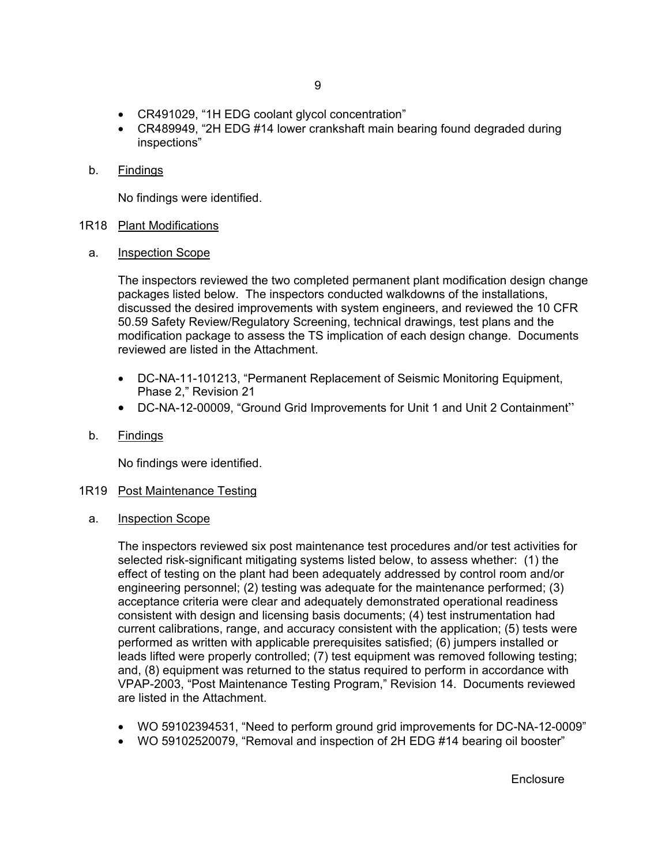- CR491029, "1H EDG coolant glycol concentration"
- CR489949, "2H EDG #14 lower crankshaft main bearing found degraded during inspections"
- b. Findings

No findings were identified.

#### 1R18 Plant Modifications

a. Inspection Scope

The inspectors reviewed the two completed permanent plant modification design change packages listed below. The inspectors conducted walkdowns of the installations, discussed the desired improvements with system engineers, and reviewed the 10 CFR 50.59 Safety Review/Regulatory Screening, technical drawings, test plans and the modification package to assess the TS implication of each design change. Documents reviewed are listed in the Attachment.

- DC-NA-11-101213, "Permanent Replacement of Seismic Monitoring Equipment, Phase 2," Revision 21
- DC-NA-12-00009, "Ground Grid Improvements for Unit 1 and Unit 2 Containment"
- b. Findings

No findings were identified.

#### 1R19 Post Maintenance Testing

a. Inspection Scope

The inspectors reviewed six post maintenance test procedures and/or test activities for selected risk-significant mitigating systems listed below, to assess whether: (1) the effect of testing on the plant had been adequately addressed by control room and/or engineering personnel; (2) testing was adequate for the maintenance performed; (3) acceptance criteria were clear and adequately demonstrated operational readiness consistent with design and licensing basis documents; (4) test instrumentation had current calibrations, range, and accuracy consistent with the application; (5) tests were performed as written with applicable prerequisites satisfied; (6) jumpers installed or leads lifted were properly controlled; (7) test equipment was removed following testing; and, (8) equipment was returned to the status required to perform in accordance with VPAP-2003, "Post Maintenance Testing Program," Revision 14. Documents reviewed are listed in the Attachment.

- WO 59102394531, "Need to perform ground grid improvements for DC-NA-12-0009"
- WO 59102520079, "Removal and inspection of 2H EDG #14 bearing oil booster"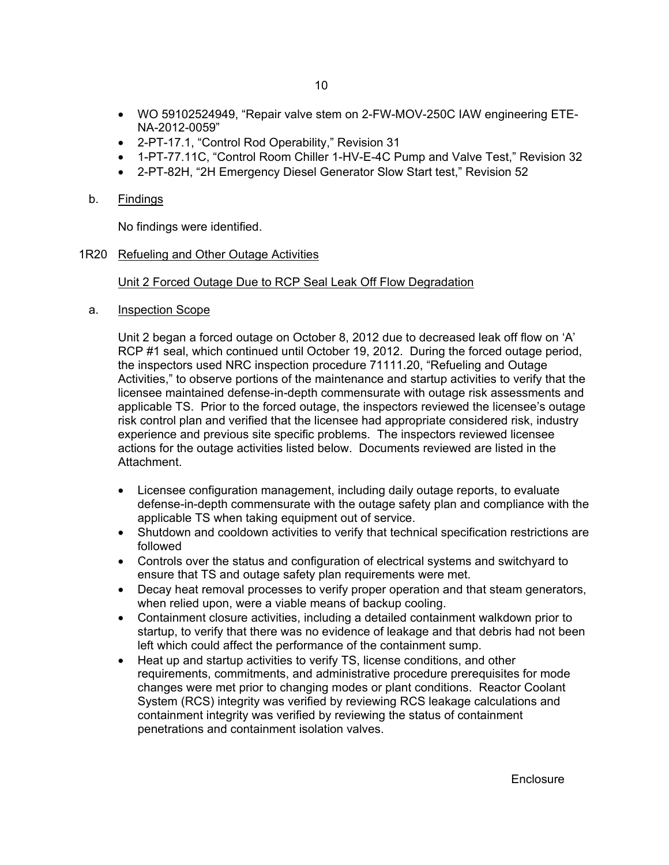- WO 59102524949, "Repair valve stem on 2-FW-MOV-250C IAW engineering ETE-NA-2012-0059"
- 2-PT-17.1, "Control Rod Operability," Revision 31
- 1-PT-77.11C, "Control Room Chiller 1-HV-E-4C Pump and Valve Test," Revision 32
- 2-PT-82H, "2H Emergency Diesel Generator Slow Start test," Revision 52

No findings were identified.

#### 1R20 Refueling and Other Outage Activities

#### Unit 2 Forced Outage Due to RCP Seal Leak Off Flow Degradation

a. Inspection Scope

Unit 2 began a forced outage on October 8, 2012 due to decreased leak off flow on 'A' RCP #1 seal, which continued until October 19, 2012. During the forced outage period, the inspectors used NRC inspection procedure 71111.20, "Refueling and Outage Activities," to observe portions of the maintenance and startup activities to verify that the licensee maintained defense-in-depth commensurate with outage risk assessments and applicable TS. Prior to the forced outage, the inspectors reviewed the licensee's outage risk control plan and verified that the licensee had appropriate considered risk, industry experience and previous site specific problems. The inspectors reviewed licensee actions for the outage activities listed below. Documents reviewed are listed in the Attachment.

- Licensee configuration management, including daily outage reports, to evaluate defense-in-depth commensurate with the outage safety plan and compliance with the applicable TS when taking equipment out of service.
- Shutdown and cooldown activities to verify that technical specification restrictions are followed
- Controls over the status and configuration of electrical systems and switchyard to ensure that TS and outage safety plan requirements were met.
- Decay heat removal processes to verify proper operation and that steam generators, when relied upon, were a viable means of backup cooling.
- Containment closure activities, including a detailed containment walkdown prior to startup, to verify that there was no evidence of leakage and that debris had not been left which could affect the performance of the containment sump.
- Heat up and startup activities to verify TS, license conditions, and other requirements, commitments, and administrative procedure prerequisites for mode changes were met prior to changing modes or plant conditions. Reactor Coolant System (RCS) integrity was verified by reviewing RCS leakage calculations and containment integrity was verified by reviewing the status of containment penetrations and containment isolation valves.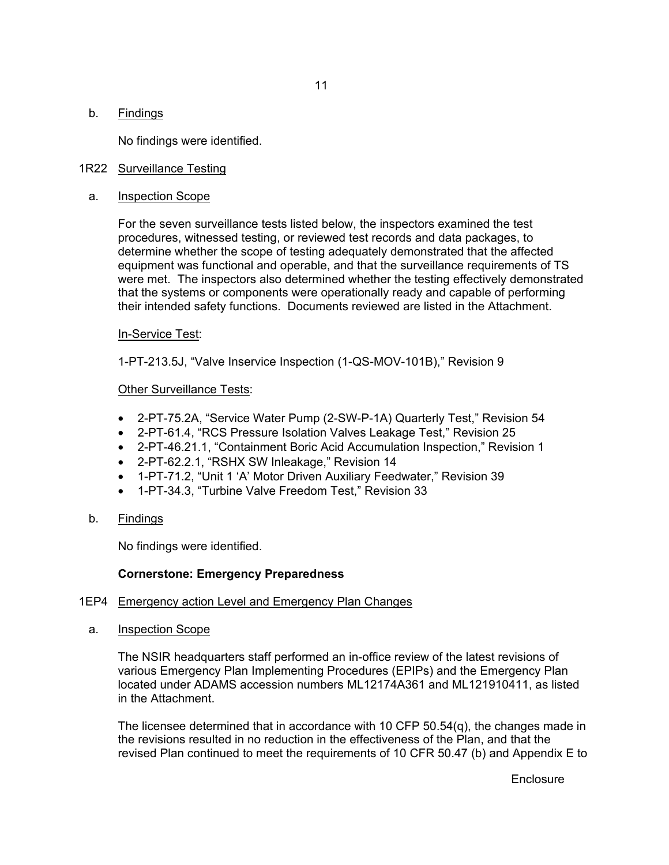No findings were identified.

## 1R22 Surveillance Testing

a. Inspection Scope

For the seven surveillance tests listed below, the inspectors examined the test procedures, witnessed testing, or reviewed test records and data packages, to determine whether the scope of testing adequately demonstrated that the affected equipment was functional and operable, and that the surveillance requirements of TS were met. The inspectors also determined whether the testing effectively demonstrated that the systems or components were operationally ready and capable of performing their intended safety functions. Documents reviewed are listed in the Attachment.

#### In-Service Test:

1-PT-213.5J, "Valve Inservice Inspection (1-QS-MOV-101B)," Revision 9

#### Other Surveillance Tests:

- 2-PT-75.2A, "Service Water Pump (2-SW-P-1A) Quarterly Test," Revision 54
- 2-PT-61.4, "RCS Pressure Isolation Valves Leakage Test," Revision 25
- 2-PT-46.21.1, "Containment Boric Acid Accumulation Inspection," Revision 1
- 2-PT-62.2.1, "RSHX SW Inleakage," Revision 14
- 1-PT-71.2, "Unit 1 'A' Motor Driven Auxiliary Feedwater," Revision 39
- 1-PT-34.3, "Turbine Valve Freedom Test," Revision 33
- b. Findings

No findings were identified.

#### **Cornerstone: Emergency Preparedness**

#### 1EP4 Emergency action Level and Emergency Plan Changes

a. Inspection Scope

The NSIR headquarters staff performed an in-office review of the latest revisions of various Emergency Plan Implementing Procedures (EPIPs) and the Emergency Plan located under ADAMS accession numbers ML12174A361 and ML121910411, as listed in the Attachment.

The licensee determined that in accordance with 10 CFP  $50.54(q)$ , the changes made in the revisions resulted in no reduction in the effectiveness of the Plan, and that the revised Plan continued to meet the requirements of 10 CFR 50.47 (b) and Appendix E to

**Enclosure**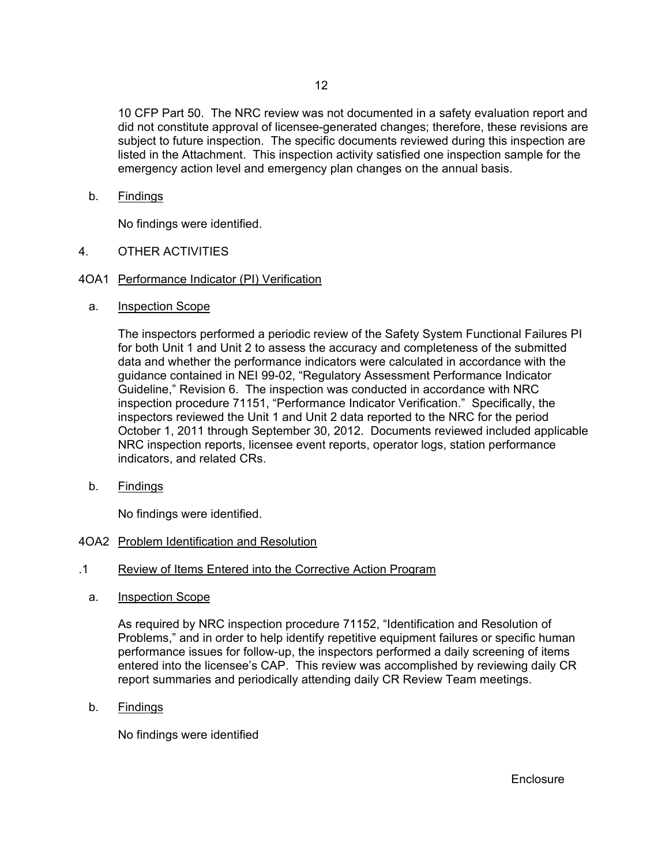10 CFP Part 50. The NRC review was not documented in a safety evaluation report and did not constitute approval of licensee-generated changes; therefore, these revisions are subject to future inspection. The specific documents reviewed during this inspection are listed in the Attachment. This inspection activity satisfied one inspection sample for the emergency action level and emergency plan changes on the annual basis.

b. Findings

No findings were identified.

- 4. OTHER ACTIVITIES
- 4OA1 Performance Indicator (PI) Verification
	- a. Inspection Scope

The inspectors performed a periodic review of the Safety System Functional Failures PI for both Unit 1 and Unit 2 to assess the accuracy and completeness of the submitted data and whether the performance indicators were calculated in accordance with the guidance contained in NEI 99-02, "Regulatory Assessment Performance Indicator Guideline," Revision 6. The inspection was conducted in accordance with NRC inspection procedure 71151, "Performance Indicator Verification." Specifically, the inspectors reviewed the Unit 1 and Unit 2 data reported to the NRC for the period October 1, 2011 through September 30, 2012. Documents reviewed included applicable NRC inspection reports, licensee event reports, operator logs, station performance indicators, and related CRs.

b. Findings

No findings were identified.

#### 4OA2 Problem Identification and Resolution

- .1 Review of Items Entered into the Corrective Action Program
	- a. Inspection Scope

As required by NRC inspection procedure 71152, "Identification and Resolution of Problems," and in order to help identify repetitive equipment failures or specific human performance issues for follow-up, the inspectors performed a daily screening of items entered into the licensee's CAP. This review was accomplished by reviewing daily CR report summaries and periodically attending daily CR Review Team meetings.

b. Findings

No findings were identified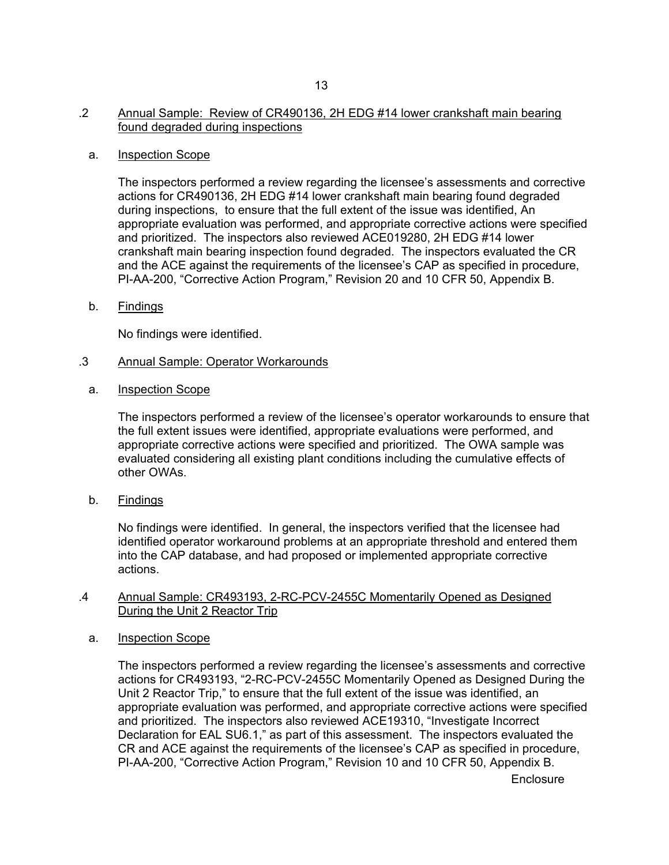#### .2 Annual Sample: Review of CR490136, 2H EDG #14 lower crankshaft main bearing found degraded during inspections

#### a. Inspection Scope

The inspectors performed a review regarding the licensee's assessments and corrective actions for CR490136, 2H EDG #14 lower crankshaft main bearing found degraded during inspections, to ensure that the full extent of the issue was identified, An appropriate evaluation was performed, and appropriate corrective actions were specified and prioritized. The inspectors also reviewed ACE019280, 2H EDG #14 lower crankshaft main bearing inspection found degraded. The inspectors evaluated the CR and the ACE against the requirements of the licensee's CAP as specified in procedure, PI-AA-200, "Corrective Action Program," Revision 20 and 10 CFR 50, Appendix B.

b. Findings

No findings were identified.

#### .3 Annual Sample: Operator Workarounds

a. Inspection Scope

The inspectors performed a review of the licensee's operator workarounds to ensure that the full extent issues were identified, appropriate evaluations were performed, and appropriate corrective actions were specified and prioritized. The OWA sample was evaluated considering all existing plant conditions including the cumulative effects of other OWAs.

b. Findings

No findings were identified. In general, the inspectors verified that the licensee had identified operator workaround problems at an appropriate threshold and entered them into the CAP database, and had proposed or implemented appropriate corrective actions.

#### .4 Annual Sample: CR493193, 2-RC-PCV-2455C Momentarily Opened as Designed During the Unit 2 Reactor Trip

#### a. Inspection Scope

The inspectors performed a review regarding the licensee's assessments and corrective actions for CR493193, "2-RC-PCV-2455C Momentarily Opened as Designed During the Unit 2 Reactor Trip," to ensure that the full extent of the issue was identified, an appropriate evaluation was performed, and appropriate corrective actions were specified and prioritized. The inspectors also reviewed ACE19310, "Investigate Incorrect Declaration for EAL SU6.1," as part of this assessment. The inspectors evaluated the CR and ACE against the requirements of the licensee's CAP as specified in procedure, PI-AA-200, "Corrective Action Program," Revision 10 and 10 CFR 50, Appendix B.

**Enclosure**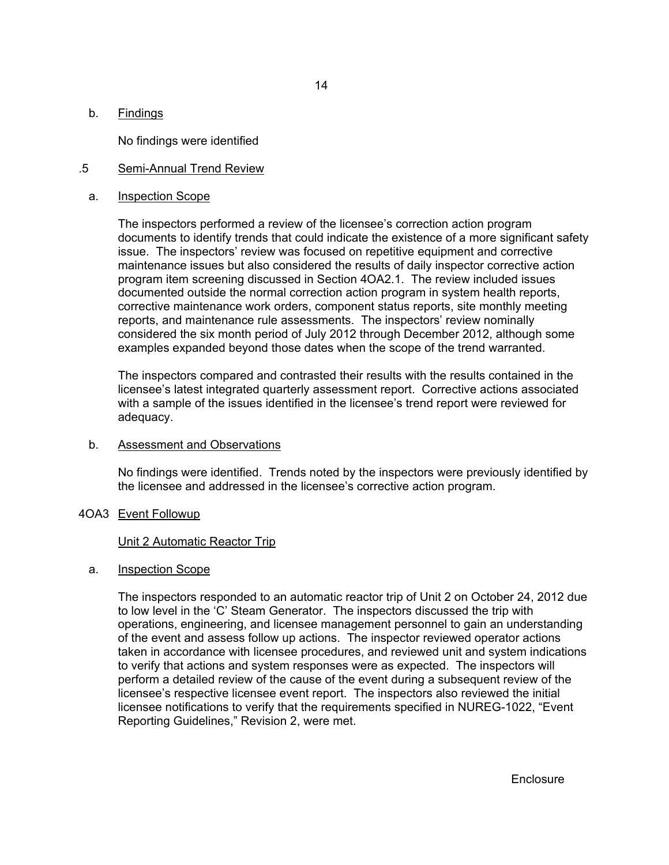No findings were identified

#### .5 Semi-Annual Trend Review

#### a. Inspection Scope

The inspectors performed a review of the licensee's correction action program documents to identify trends that could indicate the existence of a more significant safety issue. The inspectors' review was focused on repetitive equipment and corrective maintenance issues but also considered the results of daily inspector corrective action program item screening discussed in Section 4OA2.1. The review included issues documented outside the normal correction action program in system health reports, corrective maintenance work orders, component status reports, site monthly meeting reports, and maintenance rule assessments. The inspectors' review nominally considered the six month period of July 2012 through December 2012, although some examples expanded beyond those dates when the scope of the trend warranted.

The inspectors compared and contrasted their results with the results contained in the licensee's latest integrated quarterly assessment report. Corrective actions associated with a sample of the issues identified in the licensee's trend report were reviewed for adequacy.

#### b. Assessment and Observations

No findings were identified. Trends noted by the inspectors were previously identified by the licensee and addressed in the licensee's corrective action program.

#### 4OA3 Event Followup

#### Unit 2 Automatic Reactor Trip

#### a. Inspection Scope

The inspectors responded to an automatic reactor trip of Unit 2 on October 24, 2012 due to low level in the 'C' Steam Generator. The inspectors discussed the trip with operations, engineering, and licensee management personnel to gain an understanding of the event and assess follow up actions. The inspector reviewed operator actions taken in accordance with licensee procedures, and reviewed unit and system indications to verify that actions and system responses were as expected. The inspectors will perform a detailed review of the cause of the event during a subsequent review of the licensee's respective licensee event report. The inspectors also reviewed the initial licensee notifications to verify that the requirements specified in NUREG-1022, "Event Reporting Guidelines," Revision 2, were met.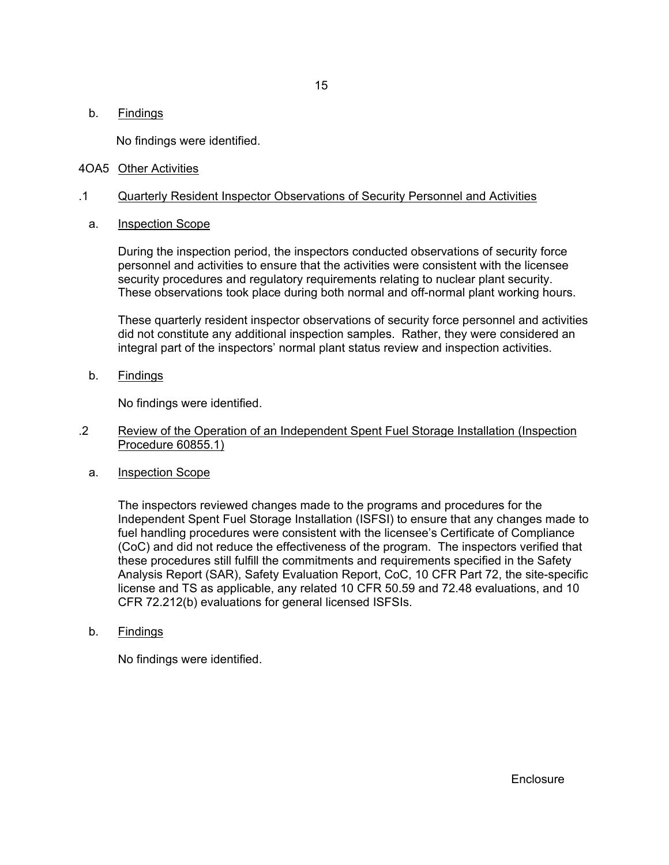No findings were identified.

#### 4OA5 Other Activities

#### .1 Quarterly Resident Inspector Observations of Security Personnel and Activities

a. Inspection Scope

During the inspection period, the inspectors conducted observations of security force personnel and activities to ensure that the activities were consistent with the licensee security procedures and regulatory requirements relating to nuclear plant security. These observations took place during both normal and off-normal plant working hours.

These quarterly resident inspector observations of security force personnel and activities did not constitute any additional inspection samples. Rather, they were considered an integral part of the inspectors' normal plant status review and inspection activities.

b. Findings

No findings were identified.

- .2 Review of the Operation of an Independent Spent Fuel Storage Installation (Inspection Procedure 60855.1)
	- a. Inspection Scope

The inspectors reviewed changes made to the programs and procedures for the Independent Spent Fuel Storage Installation (ISFSI) to ensure that any changes made to fuel handling procedures were consistent with the licensee's Certificate of Compliance (CoC) and did not reduce the effectiveness of the program. The inspectors verified that these procedures still fulfill the commitments and requirements specified in the Safety Analysis Report (SAR), Safety Evaluation Report, CoC, 10 CFR Part 72, the site-specific license and TS as applicable, any related 10 CFR 50.59 and 72.48 evaluations, and 10 CFR 72.212(b) evaluations for general licensed ISFSIs.

b. Findings

No findings were identified.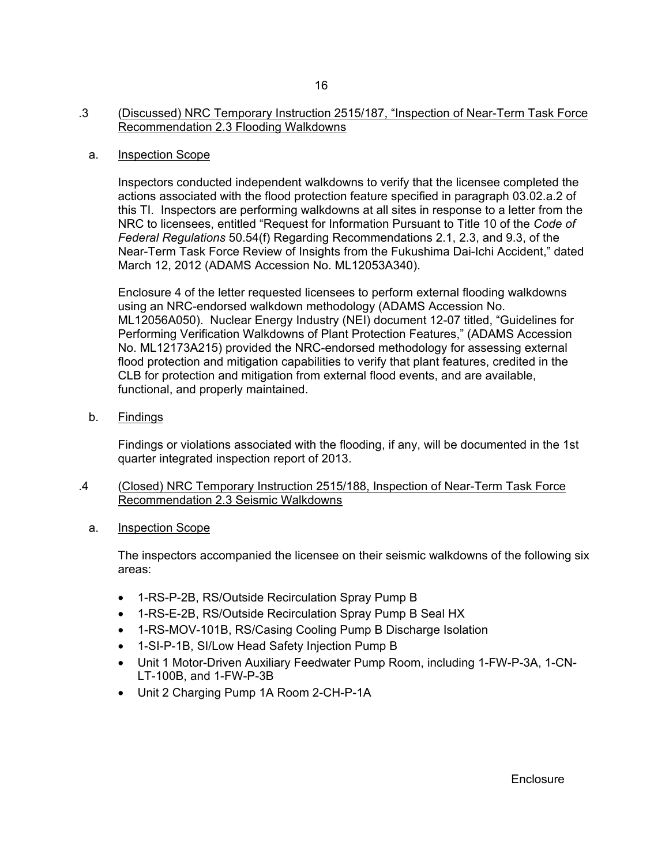### .3 (Discussed) NRC Temporary Instruction 2515/187, "Inspection of Near-Term Task Force Recommendation 2.3 Flooding Walkdowns

#### a. Inspection Scope

Inspectors conducted independent walkdowns to verify that the licensee completed the actions associated with the flood protection feature specified in paragraph 03.02.a.2 of this TI. Inspectors are performing walkdowns at all sites in response to a letter from the NRC to licensees, entitled "Request for Information Pursuant to Title 10 of the *Code of Federal Regulations* 50.54(f) Regarding Recommendations 2.1, 2.3, and 9.3, of the Near-Term Task Force Review of Insights from the Fukushima Dai-Ichi Accident," dated March 12, 2012 (ADAMS Accession No. ML12053A340).

Enclosure 4 of the letter requested licensees to perform external flooding walkdowns using an NRC-endorsed walkdown methodology (ADAMS Accession No. ML12056A050). Nuclear Energy Industry (NEI) document 12-07 titled, "Guidelines for Performing Verification Walkdowns of Plant Protection Features," (ADAMS Accession No. ML12173A215) provided the NRC-endorsed methodology for assessing external flood protection and mitigation capabilities to verify that plant features, credited in the CLB for protection and mitigation from external flood events, and are available, functional, and properly maintained.

b. Findings

Findings or violations associated with the flooding, if any, will be documented in the 1st quarter integrated inspection report of 2013.

- .4 (Closed) NRC Temporary Instruction 2515/188, Inspection of Near-Term Task Force Recommendation 2.3 Seismic Walkdowns
	- a. Inspection Scope

The inspectors accompanied the licensee on their seismic walkdowns of the following six areas:

- 1-RS-P-2B, RS/Outside Recirculation Spray Pump B
- 1-RS-E-2B, RS/Outside Recirculation Spray Pump B Seal HX
- 1-RS-MOV-101B, RS/Casing Cooling Pump B Discharge Isolation
- 1-SI-P-1B, SI/Low Head Safety Injection Pump B
- Unit 1 Motor-Driven Auxiliary Feedwater Pump Room, including 1-FW-P-3A, 1-CN-LT-100B, and 1-FW-P-3B
- Unit 2 Charging Pump 1A Room 2-CH-P-1A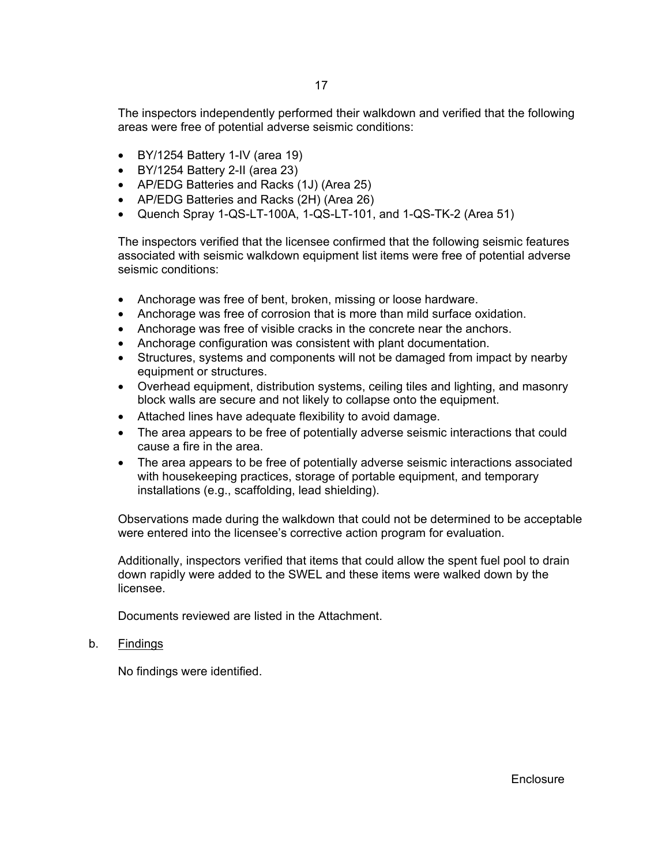The inspectors independently performed their walkdown and verified that the following areas were free of potential adverse seismic conditions:

- BY/1254 Battery 1-IV (area 19)
- BY/1254 Battery 2-II (area 23)
- AP/EDG Batteries and Racks (1J) (Area 25)
- AP/EDG Batteries and Racks (2H) (Area 26)
- Quench Spray 1-QS-LT-100A, 1-QS-LT-101, and 1-QS-TK-2 (Area 51)

The inspectors verified that the licensee confirmed that the following seismic features associated with seismic walkdown equipment list items were free of potential adverse seismic conditions:

- Anchorage was free of bent, broken, missing or loose hardware.
- Anchorage was free of corrosion that is more than mild surface oxidation.
- Anchorage was free of visible cracks in the concrete near the anchors.
- Anchorage configuration was consistent with plant documentation.
- Structures, systems and components will not be damaged from impact by nearby equipment or structures.
- Overhead equipment, distribution systems, ceiling tiles and lighting, and masonry block walls are secure and not likely to collapse onto the equipment.
- Attached lines have adequate flexibility to avoid damage.
- The area appears to be free of potentially adverse seismic interactions that could cause a fire in the area.
- The area appears to be free of potentially adverse seismic interactions associated with housekeeping practices, storage of portable equipment, and temporary installations (e.g., scaffolding, lead shielding).

Observations made during the walkdown that could not be determined to be acceptable were entered into the licensee's corrective action program for evaluation.

Additionally, inspectors verified that items that could allow the spent fuel pool to drain down rapidly were added to the SWEL and these items were walked down by the licensee.

Documents reviewed are listed in the Attachment.

#### b. Findings

No findings were identified.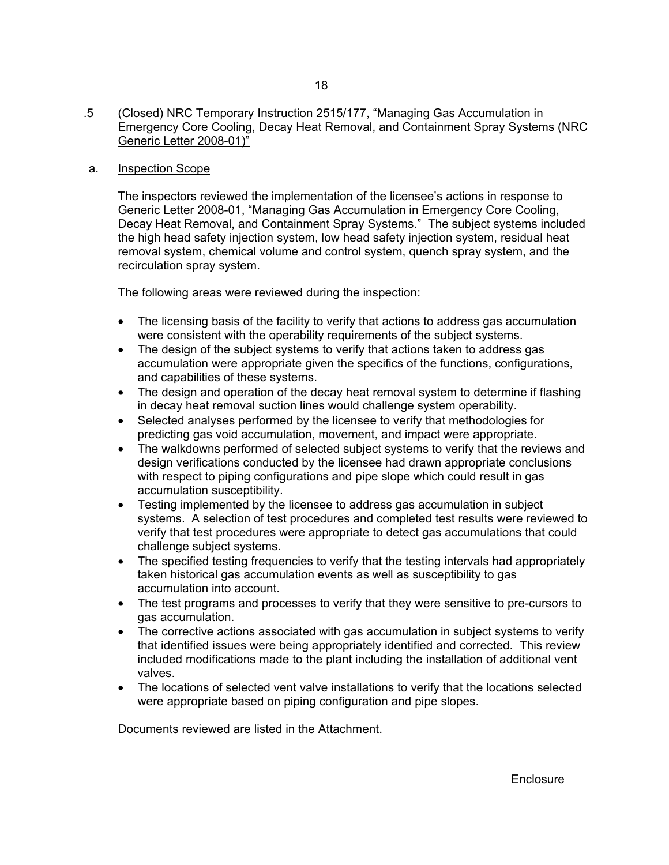## a. Inspection Scope

The inspectors reviewed the implementation of the licensee's actions in response to Generic Letter 2008-01, "Managing Gas Accumulation in Emergency Core Cooling, Decay Heat Removal, and Containment Spray Systems." The subject systems included the high head safety injection system, low head safety injection system, residual heat removal system, chemical volume and control system, quench spray system, and the recirculation spray system.

The following areas were reviewed during the inspection:

- The licensing basis of the facility to verify that actions to address gas accumulation were consistent with the operability requirements of the subject systems.
- The design of the subject systems to verify that actions taken to address gas accumulation were appropriate given the specifics of the functions, configurations, and capabilities of these systems.
- The design and operation of the decay heat removal system to determine if flashing in decay heat removal suction lines would challenge system operability.
- Selected analyses performed by the licensee to verify that methodologies for predicting gas void accumulation, movement, and impact were appropriate.
- The walkdowns performed of selected subject systems to verify that the reviews and design verifications conducted by the licensee had drawn appropriate conclusions with respect to piping configurations and pipe slope which could result in gas accumulation susceptibility.
- Testing implemented by the licensee to address gas accumulation in subject systems. A selection of test procedures and completed test results were reviewed to verify that test procedures were appropriate to detect gas accumulations that could challenge subject systems.
- The specified testing frequencies to verify that the testing intervals had appropriately taken historical gas accumulation events as well as susceptibility to gas accumulation into account.
- The test programs and processes to verify that they were sensitive to pre-cursors to gas accumulation.
- The corrective actions associated with gas accumulation in subject systems to verify that identified issues were being appropriately identified and corrected. This review included modifications made to the plant including the installation of additional vent valves.
- The locations of selected vent valve installations to verify that the locations selected were appropriate based on piping configuration and pipe slopes.

Documents reviewed are listed in the Attachment.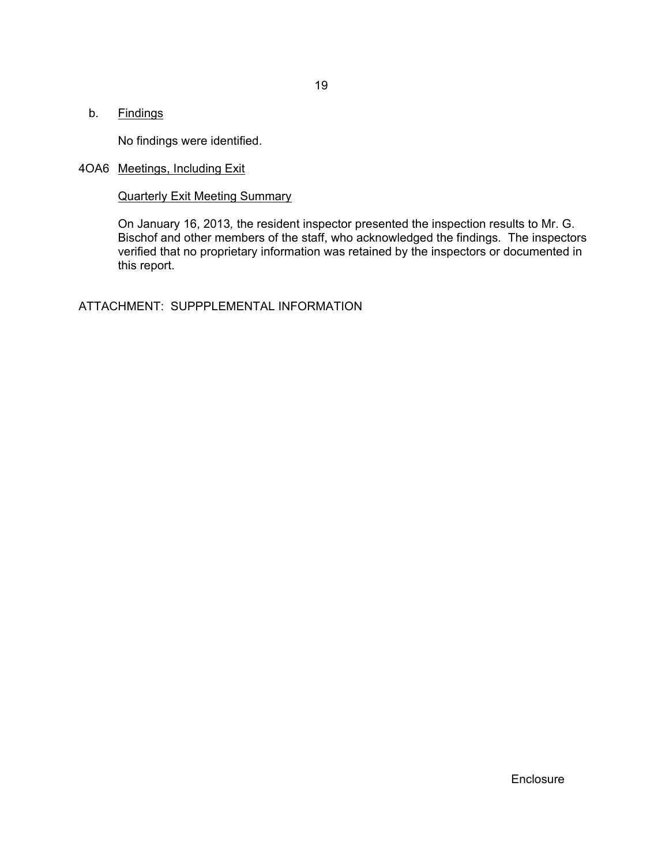No findings were identified.

## 4OA6 Meetings, Including Exit

Quarterly Exit Meeting Summary

On January 16, 2013*,* the resident inspector presented the inspection results to Mr. G. Bischof and other members of the staff, who acknowledged the findings*.* The inspectors verified that no proprietary information was retained by the inspectors or documented in this report.

ATTACHMENT: SUPPPLEMENTAL INFORMATION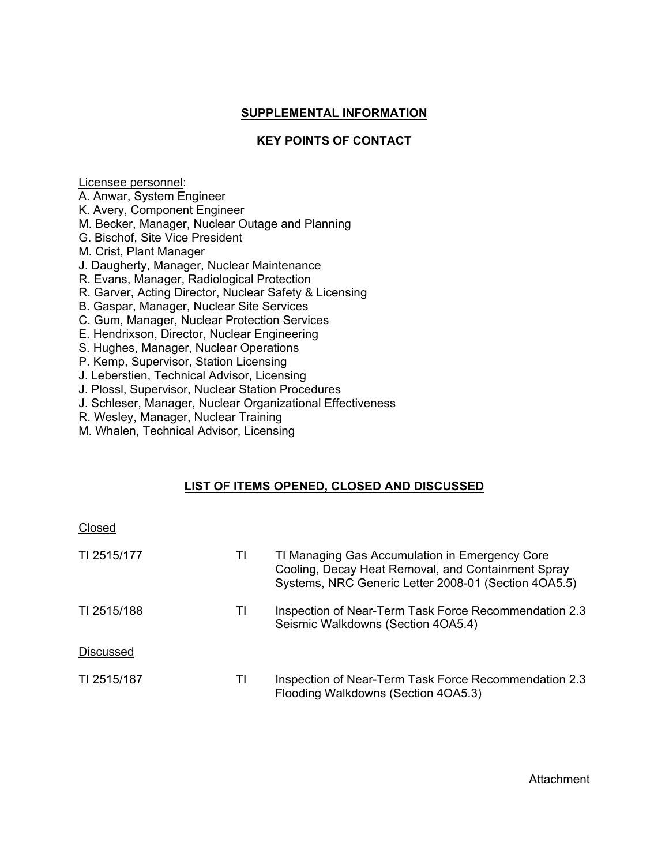## **SUPPLEMENTAL INFORMATION**

## **KEY POINTS OF CONTACT**

Licensee personnel:

- A. Anwar, System Engineer
- K. Avery, Component Engineer
- M. Becker, Manager, Nuclear Outage and Planning
- G. Bischof, Site Vice President
- M. Crist, Plant Manager
- J. Daugherty, Manager, Nuclear Maintenance
- R. Evans, Manager, Radiological Protection
- R. Garver, Acting Director, Nuclear Safety & Licensing
- B. Gaspar, Manager, Nuclear Site Services
- C. Gum, Manager, Nuclear Protection Services
- E. Hendrixson, Director, Nuclear Engineering
- S. Hughes, Manager, Nuclear Operations
- P. Kemp, Supervisor, Station Licensing
- J. Leberstien, Technical Advisor, Licensing
- J. Plossl, Supervisor, Nuclear Station Procedures
- J. Schleser, Manager, Nuclear Organizational Effectiveness
- R. Wesley, Manager, Nuclear Training
- M. Whalen, Technical Advisor, Licensing

## **LIST OF ITEMS OPENED, CLOSED AND DISCUSSED**

| Closed           |    |                                                                                                                                                              |
|------------------|----|--------------------------------------------------------------------------------------------------------------------------------------------------------------|
| TI 2515/177      | ΤI | TI Managing Gas Accumulation in Emergency Core<br>Cooling, Decay Heat Removal, and Containment Spray<br>Systems, NRC Generic Letter 2008-01 (Section 4OA5.5) |
| TI 2515/188      | ΤI | Inspection of Near-Term Task Force Recommendation 2.3<br>Seismic Walkdowns (Section 4OA5.4)                                                                  |
| <b>Discussed</b> |    |                                                                                                                                                              |
| TI 2515/187      | ΤI | Inspection of Near-Term Task Force Recommendation 2.3<br>Flooding Walkdowns (Section 4OA5.3)                                                                 |

Attachment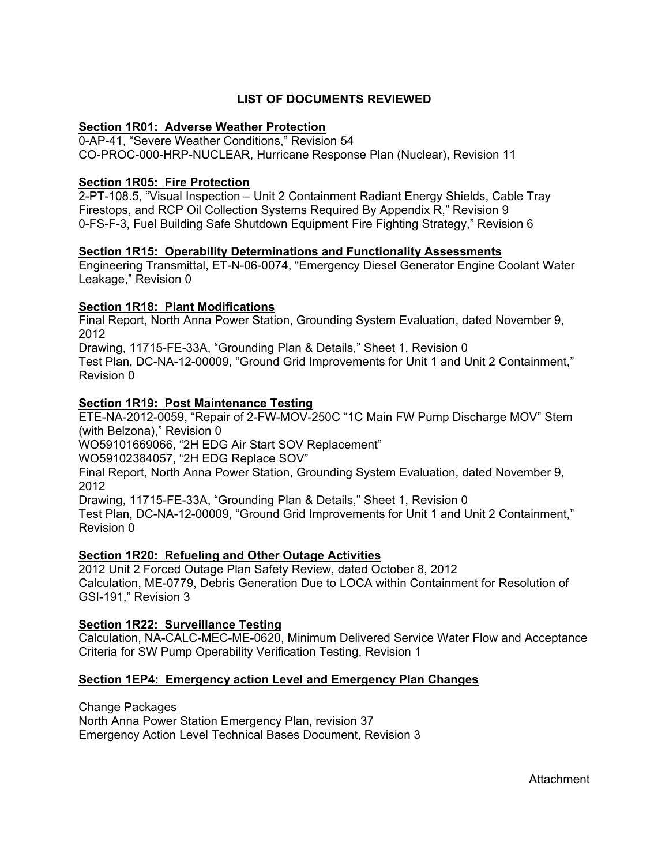## **LIST OF DOCUMENTS REVIEWED**

## **Section 1R01: Adverse Weather Protection**

0-AP-41, "Severe Weather Conditions," Revision 54 CO-PROC-000-HRP-NUCLEAR, Hurricane Response Plan (Nuclear), Revision 11

## **Section 1R05: Fire Protection**

2-PT-108.5, "Visual Inspection – Unit 2 Containment Radiant Energy Shields, Cable Tray Firestops, and RCP Oil Collection Systems Required By Appendix R," Revision 9 0-FS-F-3, Fuel Building Safe Shutdown Equipment Fire Fighting Strategy," Revision 6

## **Section 1R15: Operability Determinations and Functionality Assessments**

Engineering Transmittal, ET-N-06-0074, "Emergency Diesel Generator Engine Coolant Water Leakage," Revision 0

## **Section 1R18: Plant Modifications**

Final Report, North Anna Power Station, Grounding System Evaluation, dated November 9, 2012

Drawing, 11715-FE-33A, "Grounding Plan & Details," Sheet 1, Revision 0 Test Plan, DC-NA-12-00009, "Ground Grid Improvements for Unit 1 and Unit 2 Containment," Revision 0

## **Section 1R19: Post Maintenance Testing**

ETE-NA-2012-0059, "Repair of 2-FW-MOV-250C "1C Main FW Pump Discharge MOV" Stem (with Belzona)," Revision 0

WO59101669066, "2H EDG Air Start SOV Replacement"

WO59102384057, "2H EDG Replace SOV"

Final Report, North Anna Power Station, Grounding System Evaluation, dated November 9, 2012

Drawing, 11715-FE-33A, "Grounding Plan & Details," Sheet 1, Revision 0 Test Plan, DC-NA-12-00009, "Ground Grid Improvements for Unit 1 and Unit 2 Containment," Revision 0

## **Section 1R20: Refueling and Other Outage Activities**

2012 Unit 2 Forced Outage Plan Safety Review, dated October 8, 2012 Calculation, ME-0779, Debris Generation Due to LOCA within Containment for Resolution of GSI-191," Revision 3

## **Section 1R22: Surveillance Testing**

Calculation, NA-CALC-MEC-ME-0620, Minimum Delivered Service Water Flow and Acceptance Criteria for SW Pump Operability Verification Testing, Revision 1

## **Section 1EP4: Emergency action Level and Emergency Plan Changes**

Change Packages

North Anna Power Station Emergency Plan, revision 37 Emergency Action Level Technical Bases Document, Revision 3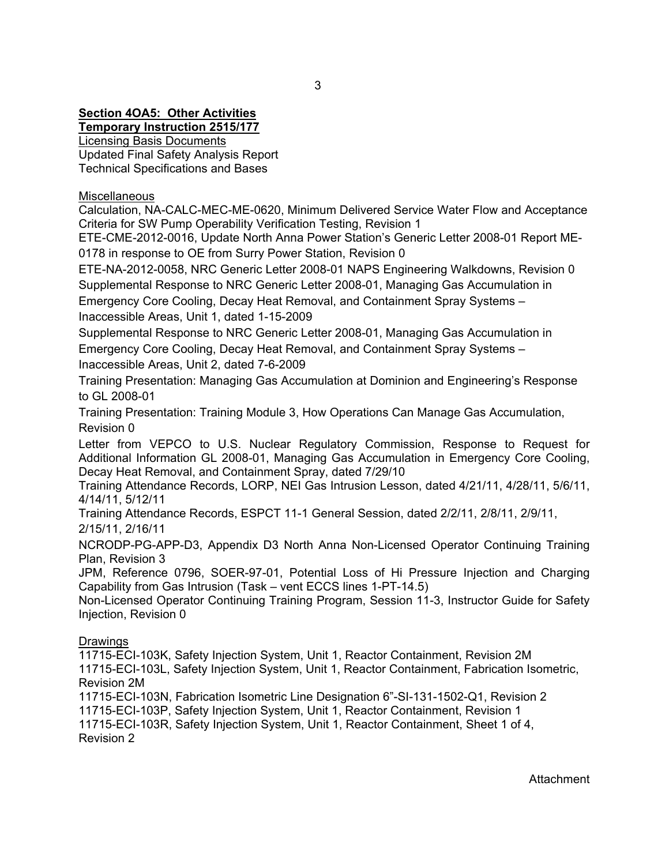# **Section 4OA5: Other Activities**

**Temporary Instruction 2515/177**

Licensing Basis Documents Updated Final Safety Analysis Report Technical Specifications and Bases

**Miscellaneous** 

Calculation, NA-CALC-MEC-ME-0620, Minimum Delivered Service Water Flow and Acceptance Criteria for SW Pump Operability Verification Testing, Revision 1

ETE-CME-2012-0016, Update North Anna Power Station's Generic Letter 2008-01 Report ME-0178 in response to OE from Surry Power Station, Revision 0

ETE-NA-2012-0058, NRC Generic Letter 2008-01 NAPS Engineering Walkdowns, Revision 0 Supplemental Response to NRC Generic Letter 2008-01, Managing Gas Accumulation in

Emergency Core Cooling, Decay Heat Removal, and Containment Spray Systems – Inaccessible Areas, Unit 1, dated 1-15-2009

Supplemental Response to NRC Generic Letter 2008-01, Managing Gas Accumulation in Emergency Core Cooling, Decay Heat Removal, and Containment Spray Systems – Inaccessible Areas, Unit 2, dated 7-6-2009

Training Presentation: Managing Gas Accumulation at Dominion and Engineering's Response to GL 2008-01

Training Presentation: Training Module 3, How Operations Can Manage Gas Accumulation, Revision 0

Letter from VEPCO to U.S. Nuclear Regulatory Commission, Response to Request for Additional Information GL 2008-01, Managing Gas Accumulation in Emergency Core Cooling, Decay Heat Removal, and Containment Spray, dated 7/29/10

Training Attendance Records, LORP, NEI Gas Intrusion Lesson, dated 4/21/11, 4/28/11, 5/6/11, 4/14/11, 5/12/11

Training Attendance Records, ESPCT 11-1 General Session, dated 2/2/11, 2/8/11, 2/9/11, 2/15/11, 2/16/11

NCRODP-PG-APP-D3, Appendix D3 North Anna Non-Licensed Operator Continuing Training Plan, Revision 3

JPM, Reference 0796, SOER-97-01, Potential Loss of Hi Pressure Injection and Charging Capability from Gas Intrusion (Task – vent ECCS lines 1-PT-14.5)

Non-Licensed Operator Continuing Training Program, Session 11-3, Instructor Guide for Safety Injection, Revision 0

## **Drawings**

11715-ECI-103K, Safety Injection System, Unit 1, Reactor Containment, Revision 2M 11715-ECI-103L, Safety Injection System, Unit 1, Reactor Containment, Fabrication Isometric, Revision 2M

11715-ECI-103N, Fabrication Isometric Line Designation 6"-SI-131-1502-Q1, Revision 2

11715-ECI-103P, Safety Injection System, Unit 1, Reactor Containment, Revision 1 11715-ECI-103R, Safety Injection System, Unit 1, Reactor Containment, Sheet 1 of 4, Revision 2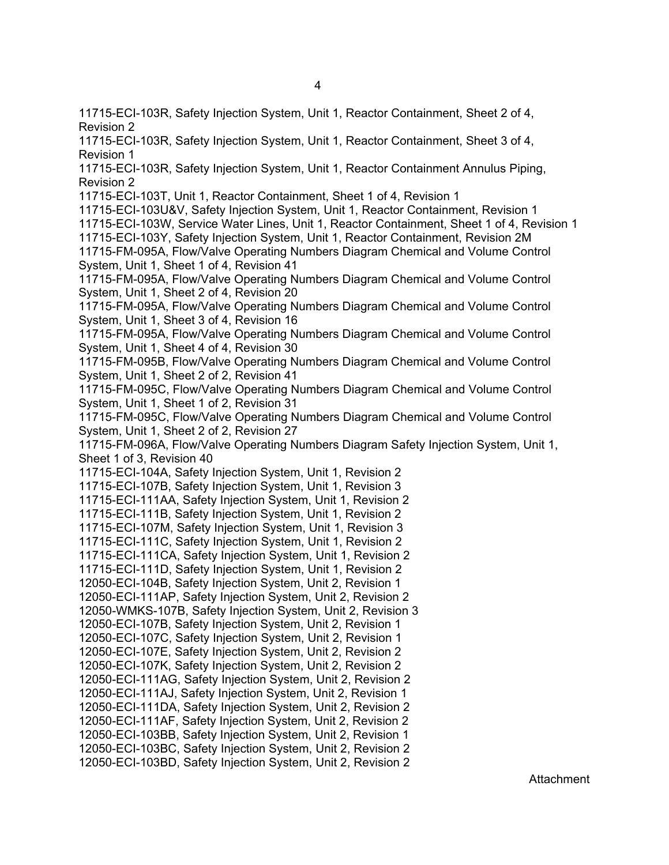11715-ECI-103R, Safety Injection System, Unit 1, Reactor Containment, Sheet 2 of 4, Revision 2

11715-ECI-103R, Safety Injection System, Unit 1, Reactor Containment, Sheet 3 of 4, Revision 1

11715-ECI-103R, Safety Injection System, Unit 1, Reactor Containment Annulus Piping, Revision 2

11715-ECI-103T, Unit 1, Reactor Containment, Sheet 1 of 4, Revision 1

11715-ECI-103U&V, Safety Injection System, Unit 1, Reactor Containment, Revision 1 11715-ECI-103W, Service Water Lines, Unit 1, Reactor Containment, Sheet 1 of 4, Revision 1 11715-ECI-103Y, Safety Injection System, Unit 1, Reactor Containment, Revision 2M 11715-FM-095A, Flow/Valve Operating Numbers Diagram Chemical and Volume Control System, Unit 1, Sheet 1 of 4, Revision 41

11715-FM-095A, Flow/Valve Operating Numbers Diagram Chemical and Volume Control System, Unit 1, Sheet 2 of 4, Revision 20

11715-FM-095A, Flow/Valve Operating Numbers Diagram Chemical and Volume Control System, Unit 1, Sheet 3 of 4, Revision 16

11715-FM-095A, Flow/Valve Operating Numbers Diagram Chemical and Volume Control System, Unit 1, Sheet 4 of 4, Revision 30

11715-FM-095B, Flow/Valve Operating Numbers Diagram Chemical and Volume Control System, Unit 1, Sheet 2 of 2, Revision 41

11715-FM-095C, Flow/Valve Operating Numbers Diagram Chemical and Volume Control System, Unit 1, Sheet 1 of 2, Revision 31

11715-FM-095C, Flow/Valve Operating Numbers Diagram Chemical and Volume Control System, Unit 1, Sheet 2 of 2, Revision 27

11715-FM-096A, Flow/Valve Operating Numbers Diagram Safety Injection System, Unit 1, Sheet 1 of 3, Revision 40

11715-ECI-104A, Safety Injection System, Unit 1, Revision 2

11715-ECI-107B, Safety Injection System, Unit 1, Revision 3

11715-ECI-111AA, Safety Injection System, Unit 1, Revision 2

11715-ECI-111B, Safety Injection System, Unit 1, Revision 2

11715-ECI-107M, Safety Injection System, Unit 1, Revision 3

11715-ECI-111C, Safety Injection System, Unit 1, Revision 2

11715-ECI-111CA, Safety Injection System, Unit 1, Revision 2

11715-ECI-111D, Safety Injection System, Unit 1, Revision 2

12050-ECI-104B, Safety Injection System, Unit 2, Revision 1

12050-ECI-111AP, Safety Injection System, Unit 2, Revision 2

12050-WMKS-107B, Safety Injection System, Unit 2, Revision 3

12050-ECI-107B, Safety Injection System, Unit 2, Revision 1 12050-ECI-107C, Safety Injection System, Unit 2, Revision 1

12050-ECI-107E, Safety Injection System, Unit 2, Revision 2

12050-ECI-107K, Safety Injection System, Unit 2, Revision 2

12050-ECI-111AG, Safety Injection System, Unit 2, Revision 2

12050-ECI-111AJ, Safety Injection System, Unit 2, Revision 1

12050-ECI-111DA, Safety Injection System, Unit 2, Revision 2

12050-ECI-111AF, Safety Injection System, Unit 2, Revision 2

12050-ECI-103BB, Safety Injection System, Unit 2, Revision 1

12050-ECI-103BC, Safety Injection System, Unit 2, Revision 2 12050-ECI-103BD, Safety Injection System, Unit 2, Revision 2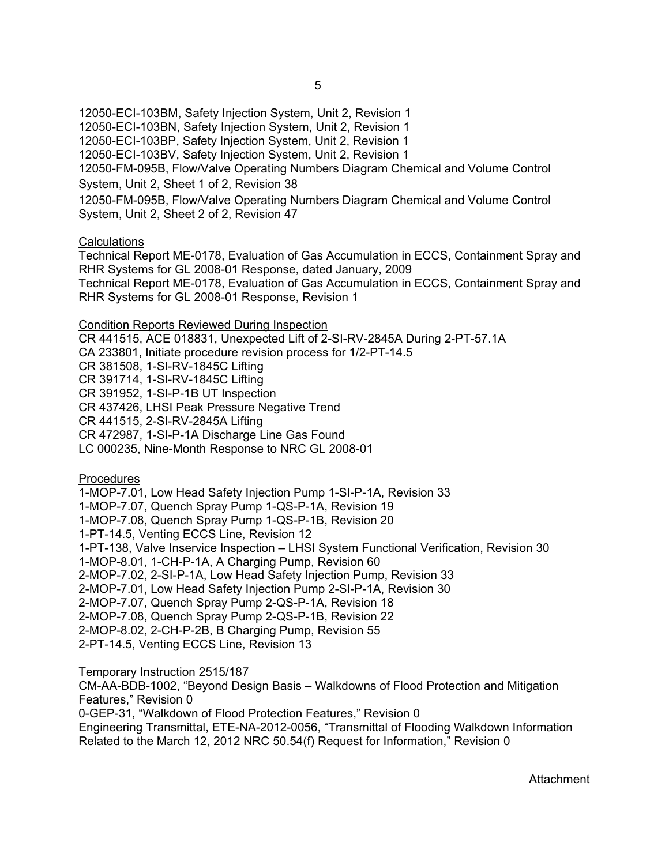12050-ECI-103BM, Safety Injection System, Unit 2, Revision 1 12050-ECI-103BN, Safety Injection System, Unit 2, Revision 1 12050-ECI-103BP, Safety Injection System, Unit 2, Revision 1 12050-ECI-103BV, Safety Injection System, Unit 2, Revision 1 12050-FM-095B, Flow/Valve Operating Numbers Diagram Chemical and Volume Control System, Unit 2, Sheet 1 of 2, Revision 38 12050-FM-095B, Flow/Valve Operating Numbers Diagram Chemical and Volume Control System, Unit 2, Sheet 2 of 2, Revision 47

#### **Calculations**

Technical Report ME-0178, Evaluation of Gas Accumulation in ECCS, Containment Spray and RHR Systems for GL 2008-01 Response, dated January, 2009 Technical Report ME-0178, Evaluation of Gas Accumulation in ECCS, Containment Spray and RHR Systems for GL 2008-01 Response, Revision 1

#### Condition Reports Reviewed During Inspection

CR 441515, ACE 018831, Unexpected Lift of 2-SI-RV-2845A During 2-PT-57.1A

CA 233801, Initiate procedure revision process for 1/2-PT-14.5

CR 381508, 1-SI-RV-1845C Lifting

CR 391714, 1-SI-RV-1845C Lifting

CR 391952, 1-SI-P-1B UT Inspection

CR 437426, LHSI Peak Pressure Negative Trend

CR 441515, 2-SI-RV-2845A Lifting

CR 472987, 1-SI-P-1A Discharge Line Gas Found

LC 000235, Nine-Month Response to NRC GL 2008-01

#### **Procedures**

1-MOP-7.01, Low Head Safety Injection Pump 1-SI-P-1A, Revision 33

1-MOP-7.07, Quench Spray Pump 1-QS-P-1A, Revision 19

1-MOP-7.08, Quench Spray Pump 1-QS-P-1B, Revision 20

1-PT-14.5, Venting ECCS Line, Revision 12

1-PT-138, Valve Inservice Inspection – LHSI System Functional Verification, Revision 30

1-MOP-8.01, 1-CH-P-1A, A Charging Pump, Revision 60

2-MOP-7.02, 2-SI-P-1A, Low Head Safety Injection Pump, Revision 33

2-MOP-7.01, Low Head Safety Injection Pump 2-SI-P-1A, Revision 30

2-MOP-7.07, Quench Spray Pump 2-QS-P-1A, Revision 18

2-MOP-7.08, Quench Spray Pump 2-QS-P-1B, Revision 22

2-MOP-8.02, 2-CH-P-2B, B Charging Pump, Revision 55

2-PT-14.5, Venting ECCS Line, Revision 13

Temporary Instruction 2515/187

CM-AA-BDB-1002, "Beyond Design Basis – Walkdowns of Flood Protection and Mitigation Features," Revision 0

0-GEP-31, "Walkdown of Flood Protection Features," Revision 0

Engineering Transmittal, ETE-NA-2012-0056, "Transmittal of Flooding Walkdown Information Related to the March 12, 2012 NRC 50.54(f) Request for Information," Revision 0

Attachment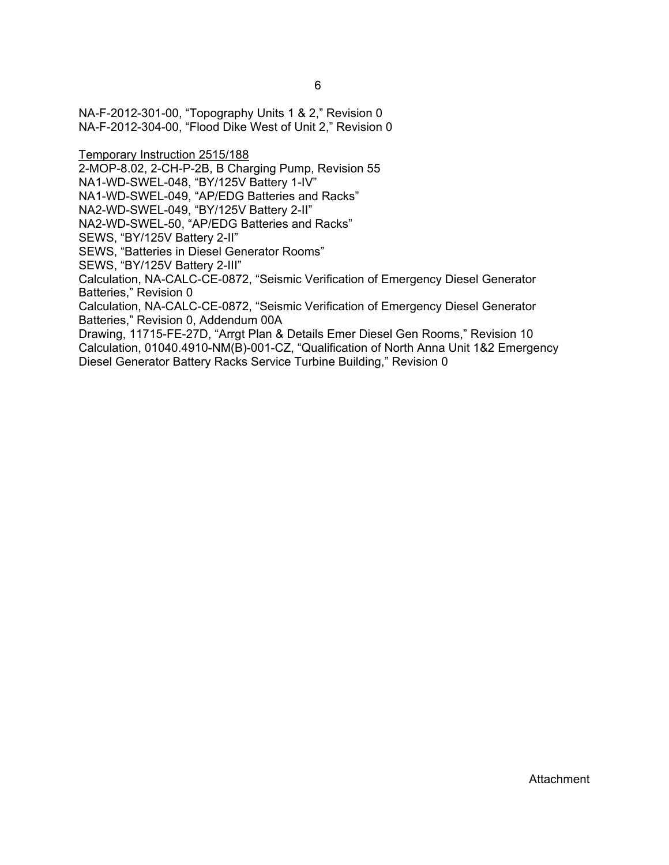NA-F-2012-301-00, "Topography Units 1 & 2," Revision 0 NA-F-2012-304-00, "Flood Dike West of Unit 2," Revision 0

Temporary Instruction 2515/188

2-MOP-8.02, 2-CH-P-2B, B Charging Pump, Revision 55

NA1-WD-SWEL-048, "BY/125V Battery 1-IV"

NA1-WD-SWEL-049, "AP/EDG Batteries and Racks"

NA2-WD-SWEL-049, "BY/125V Battery 2-II"

NA2-WD-SWEL-50, "AP/EDG Batteries and Racks"

SEWS, "BY/125V Battery 2-II"

SEWS, "Batteries in Diesel Generator Rooms"

SEWS, "BY/125V Battery 2-III"

Calculation, NA-CALC-CE-0872, "Seismic Verification of Emergency Diesel Generator Batteries," Revision 0

Calculation, NA-CALC-CE-0872, "Seismic Verification of Emergency Diesel Generator Batteries," Revision 0, Addendum 00A

Drawing, 11715-FE-27D, "Arrgt Plan & Details Emer Diesel Gen Rooms," Revision 10 Calculation, 01040.4910-NM(B)-001-CZ, "Qualification of North Anna Unit 1&2 Emergency Diesel Generator Battery Racks Service Turbine Building," Revision 0